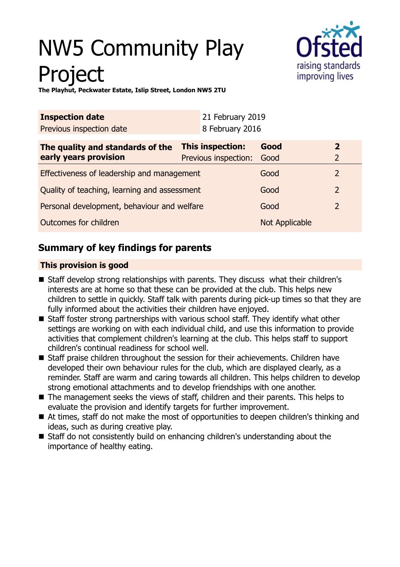# NW5 Community Play **Project**



**The Playhut, Peckwater Estate, Islip Street, London NW5 2TU**

| <b>Inspection date</b>                       |                         | 21 February 2019     |                |                |
|----------------------------------------------|-------------------------|----------------------|----------------|----------------|
| Previous inspection date                     |                         | 8 February 2016      |                |                |
| The quality and standards of the             | <b>This inspection:</b> |                      | Good           | $\overline{2}$ |
| early years provision                        |                         | Previous inspection: | Good           | $\overline{2}$ |
| Effectiveness of leadership and management   |                         |                      | Good           | $\overline{2}$ |
| Quality of teaching, learning and assessment |                         |                      | Good           | $\overline{2}$ |
| Personal development, behaviour and welfare  |                         |                      | Good           | $\overline{2}$ |
| Outcomes for children                        |                         |                      | Not Applicable |                |

# **Summary of key findings for parents**

# **This provision is good**

- Staff develop strong relationships with parents. They discuss what their children's interests are at home so that these can be provided at the club. This helps new children to settle in quickly. Staff talk with parents during pick-up times so that they are fully informed about the activities their children have enjoyed.
- Staff foster strong partnerships with various school staff. They identify what other settings are working on with each individual child, and use this information to provide activities that complement children's learning at the club. This helps staff to support children's continual readiness for school well.
- $\blacksquare$  Staff praise children throughout the session for their achievements. Children have developed their own behaviour rules for the club, which are displayed clearly, as a reminder. Staff are warm and caring towards all children. This helps children to develop strong emotional attachments and to develop friendships with one another.
- The management seeks the views of staff, children and their parents. This helps to evaluate the provision and identify targets for further improvement.
- At times, staff do not make the most of opportunities to deepen children's thinking and ideas, such as during creative play.
- $\blacksquare$  Staff do not consistently build on enhancing children's understanding about the importance of healthy eating.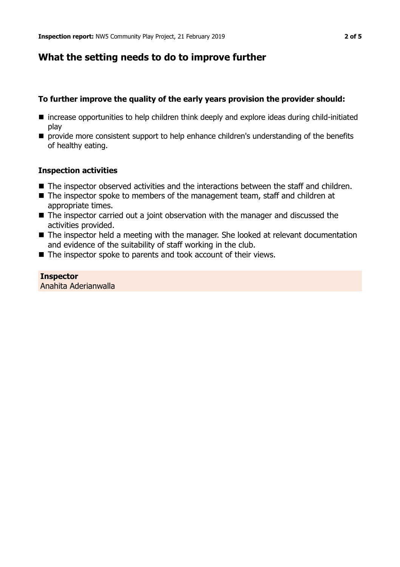# **What the setting needs to do to improve further**

## **To further improve the quality of the early years provision the provider should:**

- increase opportunities to help children think deeply and explore ideas during child-initiated play
- **n** provide more consistent support to help enhance children's understanding of the benefits of healthy eating.

## **Inspection activities**

- The inspector observed activities and the interactions between the staff and children.
- $\blacksquare$  The inspector spoke to members of the management team, staff and children at appropriate times.
- $\blacksquare$  The inspector carried out a joint observation with the manager and discussed the activities provided.
- The inspector held a meeting with the manager. She looked at relevant documentation and evidence of the suitability of staff working in the club.
- $\blacksquare$  The inspector spoke to parents and took account of their views.

#### **Inspector** Anahita Aderianwalla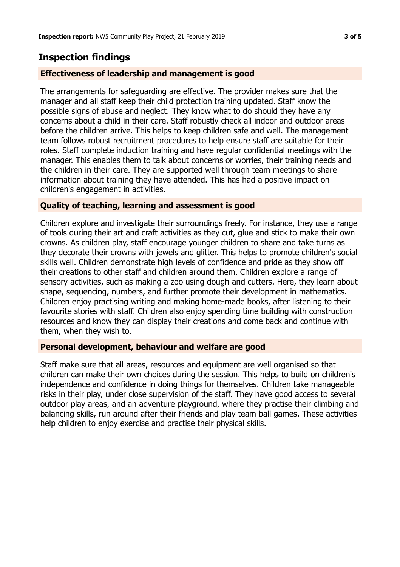# **Inspection findings**

## **Effectiveness of leadership and management is good**

The arrangements for safeguarding are effective. The provider makes sure that the manager and all staff keep their child protection training updated. Staff know the possible signs of abuse and neglect. They know what to do should they have any concerns about a child in their care. Staff robustly check all indoor and outdoor areas before the children arrive. This helps to keep children safe and well. The management team follows robust recruitment procedures to help ensure staff are suitable for their roles. Staff complete induction training and have regular confidential meetings with the manager. This enables them to talk about concerns or worries, their training needs and the children in their care. They are supported well through team meetings to share information about training they have attended. This has had a positive impact on children's engagement in activities.

## **Quality of teaching, learning and assessment is good**

Children explore and investigate their surroundings freely. For instance, they use a range of tools during their art and craft activities as they cut, glue and stick to make their own crowns. As children play, staff encourage younger children to share and take turns as they decorate their crowns with jewels and glitter. This helps to promote children's social skills well. Children demonstrate high levels of confidence and pride as they show off their creations to other staff and children around them. Children explore a range of sensory activities, such as making a zoo using dough and cutters. Here, they learn about shape, sequencing, numbers, and further promote their development in mathematics. Children enjoy practising writing and making home-made books, after listening to their favourite stories with staff. Children also enjoy spending time building with construction resources and know they can display their creations and come back and continue with them, when they wish to.

## **Personal development, behaviour and welfare are good**

Staff make sure that all areas, resources and equipment are well organised so that children can make their own choices during the session. This helps to build on children's independence and confidence in doing things for themselves. Children take manageable risks in their play, under close supervision of the staff. They have good access to several outdoor play areas, and an adventure playground, where they practise their climbing and balancing skills, run around after their friends and play team ball games. These activities help children to enjoy exercise and practise their physical skills.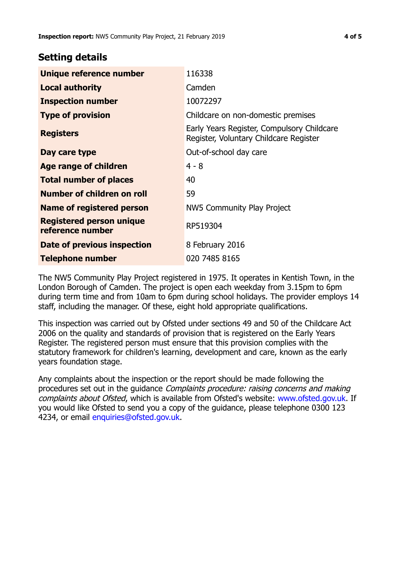# **Setting details**

| Unique reference number                      | 116338                                                                               |  |
|----------------------------------------------|--------------------------------------------------------------------------------------|--|
| <b>Local authority</b>                       | Camden                                                                               |  |
| <b>Inspection number</b>                     | 10072297                                                                             |  |
| <b>Type of provision</b>                     | Childcare on non-domestic premises                                                   |  |
| <b>Registers</b>                             | Early Years Register, Compulsory Childcare<br>Register, Voluntary Childcare Register |  |
| Day care type                                | Out-of-school day care                                                               |  |
| Age range of children                        | $4 - 8$                                                                              |  |
| <b>Total number of places</b>                | 40                                                                                   |  |
| Number of children on roll                   | 59                                                                                   |  |
| Name of registered person                    | NW5 Community Play Project                                                           |  |
| Registered person unique<br>reference number | RP519304                                                                             |  |
| Date of previous inspection                  | 8 February 2016                                                                      |  |
| <b>Telephone number</b>                      | 020 7485 8165                                                                        |  |

The NW5 Community Play Project registered in 1975. It operates in Kentish Town, in the London Borough of Camden. The project is open each weekday from 3.15pm to 6pm during term time and from 10am to 6pm during school holidays. The provider employs 14 staff, including the manager. Of these, eight hold appropriate qualifications.

This inspection was carried out by Ofsted under sections 49 and 50 of the Childcare Act 2006 on the quality and standards of provision that is registered on the Early Years Register. The registered person must ensure that this provision complies with the statutory framework for children's learning, development and care, known as the early years foundation stage.

Any complaints about the inspection or the report should be made following the procedures set out in the quidance *Complaints procedure: raising concerns and making* complaints about Ofsted, which is available from Ofsted's website: www.ofsted.gov.uk. If you would like Ofsted to send you a copy of the guidance, please telephone 0300 123 4234, or email [enquiries@ofsted.gov.uk.](mailto:enquiries@ofsted.gov.uk)